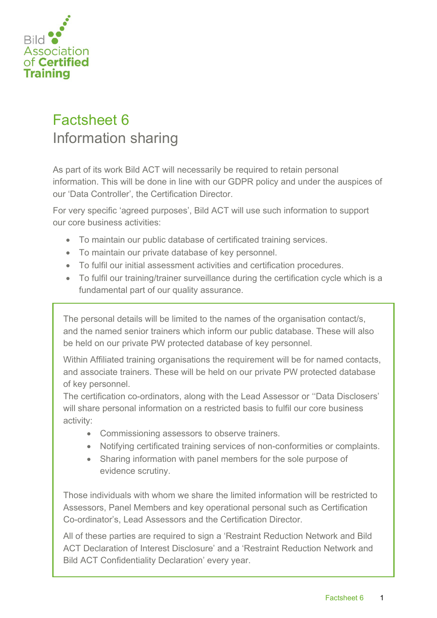

## Factsheet 6 Information sharing

As part of its work Bild ACT will necessarily be required to retain personal information. This will be done in line with our GDPR policy and under the auspices of our 'Data Controller', the Certification Director.

For very specific 'agreed purposes', Bild ACT will use such information to support our core business activities:

- To maintain our public database of certificated training services.
- To maintain our private database of key personnel.
- To fulfil our initial assessment activities and certification procedures.
- To fulfil our training/trainer surveillance during the certification cycle which is a fundamental part of our quality assurance.

The personal details will be limited to the names of the organisation contact/s, and the named senior trainers which inform our public database. These will also be held on our private PW protected database of key personnel.

Within Affiliated training organisations the requirement will be for named contacts, and associate trainers. These will be held on our private PW protected database of key personnel.

The certification co-ordinators, along with the Lead Assessor or ''Data Disclosers' will share personal information on a restricted basis to fulfil our core business activity:

- Commissioning assessors to observe trainers.
- Notifying certificated training services of non-conformities or complaints.
- Sharing information with panel members for the sole purpose of evidence scrutiny.

Those individuals with whom we share the limited information will be restricted to Assessors, Panel Members and key operational personal such as Certification Co-ordinator's, Lead Assessors and the Certification Director.

All of these parties are required to sign a 'Restraint Reduction Network and Bild ACT Declaration of Interest Disclosure' and a 'Restraint Reduction Network and Bild ACT Confidentiality Declaration' every year.